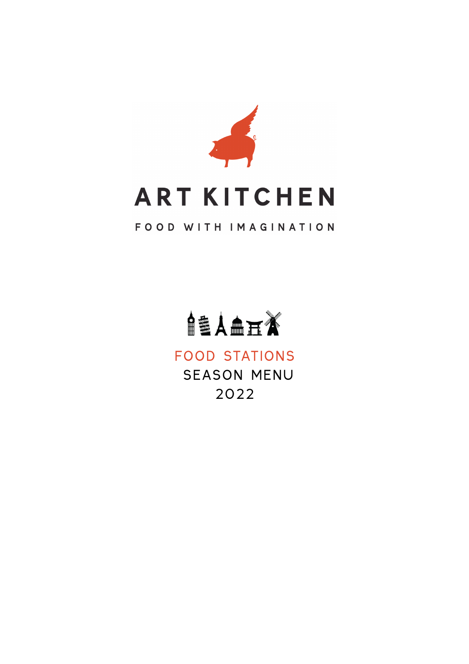



### FOOD STATIONS SEASON MENU 2022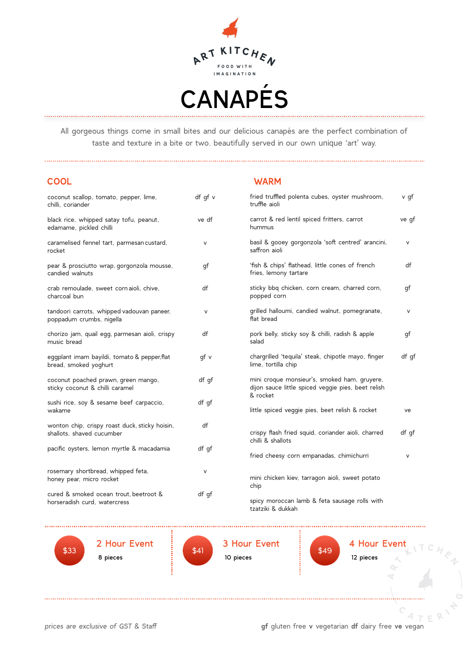

All gorgeous things come in small bites and our delicious canapés are the perfect combination of taste and texture in a bite or two. beautifully served in our own unique 'art' way.

| <b>COOL</b> | <b>WARM</b> |  |
|-------------|-------------|--|
|             |             |  |

| coconut scallop, tomato, pepper, lime,<br>chilli, coriander                 | df gf v | fried truffled polenta cubes, oyster mushroom,<br>truffle aioli                                                | v qf   |
|-----------------------------------------------------------------------------|---------|----------------------------------------------------------------------------------------------------------------|--------|
| black rice, whipped satay tofu, peanut,<br>edamame, pickled chilli          | ve df   | carrot & red lentil spiced fritters, carrot<br>hummus                                                          | ve gf  |
| caramelised fennel tart, parmesan custard,<br>rocket                        | V       | basil & gooey gorgonzola 'soft centred' arancini,<br>saffron aioli                                             | $\vee$ |
| pear & prosciutto wrap, gorgonzola mousse,<br>candied walnuts               | qf      | 'fish & chips' flathead, little cones of french<br>fries, lemony tartare                                       | df     |
| crab remoulade, sweet cornaioli, chive,<br>charcoal bun                     | df      | sticky bbq chicken, corn cream, charred corn,<br>popped corn                                                   | qf     |
| tandoori carrots, whipped vadouvan paneer,<br>poppadum crumbs, nigella      | $\vee$  | grilled halloumi, candied walnut, pomegranate,<br>flat bread                                                   | V      |
| chorizo jam, quail egg, parmesan aioli, crispy<br>music bread               | df      | pork belly, sticky soy & chilli, radish & apple<br>salad                                                       | qf     |
| eggplant imam bayildi, tomato & pepper, flat<br>bread, smoked yoghurt       | qf v    | chargrilled 'tequila' steak, chipotle mayo, finger<br>lime, tortilla chip                                      | df gf  |
| coconut poached prawn, green mango,<br>sticky coconut & chilli caramel      | df qf   | mini croque monsieur's, smoked ham, gruyere,<br>dijon sauce little spiced veggie pies, beet relish<br>& rocket |        |
| sushi rice, soy & sesame beef carpaccio,<br>wakame                          | df qf   | little spiced veggie pies, beet relish & rocket                                                                | ve     |
| wonton chip, crispy roast duck, sticky hoisin,<br>shallots, shaved cucumber | df      | crispy flash fried squid, coriander aioli, charred<br>chilli & shallots                                        | df qf  |
| pacific oysters, lemon myrtle & macadamia                                   | df gf   | fried cheesy corn empanadas, chimichurri                                                                       | $\vee$ |
| rosemary shortbread, whipped feta,<br>honey pear, micro rocket              | $\vee$  | mini chicken kiev, tarragon aioli, sweet potato<br>chip                                                        |        |
| cured & smoked ocean trout, beetroot &<br>horseradish curd, watercress      | df gf   | spicy moroccan lamb & feta sausage rolls with<br>tzatziki & dukkah                                             |        |



<sup>\$41</sup> 3 Hour Event 10 pieces

 $$33$  \$41  $$49$ 

 $\begin{array}{c} 4 \text{ hour} \end{array}$  S<sub>49</sub> 12 pieces

. . . . \ . . . . . . . . . . . . . .

2 Hour Event

8 pieces

*prices are exclusive of GST & Staff* **gf** gluten free **v** vegetarian **df** dairy free **ve** vegan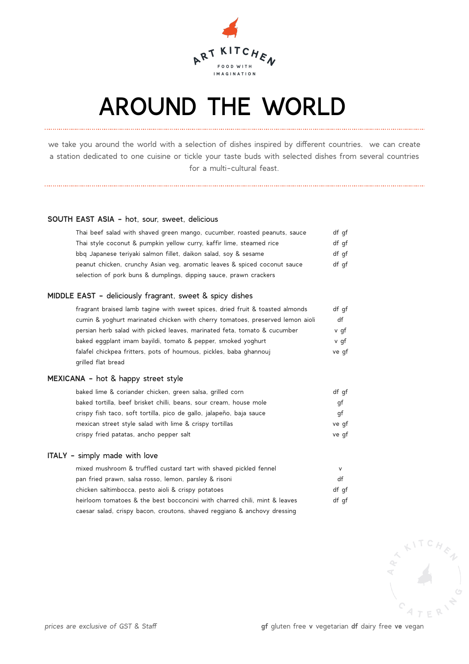

### AROUND THE WORLD

we take you around the world with a selection of dishes inspired by different countries. we can create a station dedicated to one cuisine or tickle your taste buds with selected dishes from several countries for a multi-cultural feast.

#### **SOUTH EAST ASIA -** hot, sour, sweet, delicious

| Thai beef salad with shaved green mango, cucumber, roasted peanuts, sauce | df qf |
|---------------------------------------------------------------------------|-------|
| Thai style coconut & pumpkin yellow curry, kaffir lime, steamed rice      | df qf |
| bbg Japanese teriyaki salmon fillet, daikon salad, soy & sesame           | df qf |
| peanut chicken, crunchy Asian veg, aromatic leaves & spiced coconut sauce | df qf |
| selection of pork buns & dumplings, dipping sauce, prawn crackers         |       |

#### **MIDDLE EAST -** deliciously fragrant, sweet & spicy dishes

| fragrant braised lamb tagine with sweet spices, dried fruit & toasted almonds | df qf |
|-------------------------------------------------------------------------------|-------|
| cumin & yoghurt marinated chicken with cherry tomatoes, preserved lemon aioli | df    |
| persian herb salad with picked leaves, marinated feta, tomato & cucumber      | v qf  |
| baked eqqplant imam bayildi, tomato & pepper, smoked yoghurt                  | v qf  |
| falafel chickpea fritters, pots of houmous, pickles, baba ghannouj            | ve qf |
| grilled flat bread                                                            |       |

#### **MEXICANA -** hot & happy street style

| baked lime & coriander chicken, green salsa, grilled corn            | df qf |
|----------------------------------------------------------------------|-------|
| baked tortilla, beef brisket chilli, beans, sour cream, house mole   | qt    |
| crispy fish taco, soft tortilla, pico de gallo, jalapeño, baja sauce | qt    |
| mexican street style salad with lime & crispy tortillas              | ve qf |
| crispy fried patatas, ancho pepper salt                              | ve qf |

#### **ITALY -** simply made with love

| mixed mushroom & truffled custard tart with shaved pickled fennel         | v     |
|---------------------------------------------------------------------------|-------|
| pan fried prawn, salsa rosso, lemon, parsley & risoni                     | df    |
| chicken saltimbocca, pesto aioli & crispy potatoes                        | df qf |
| heirloom tomatoes & the best bocconcini with charred chili, mint & leaves | df qf |
| caesar salad, crispy bacon, croutons, shaved reggiano & anchovy dressing  |       |

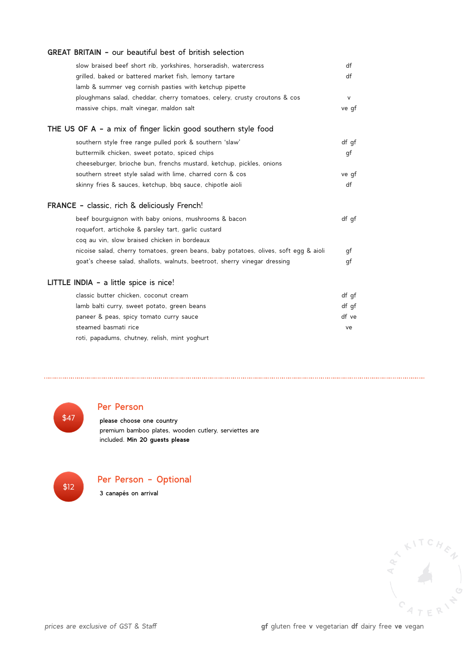| GREAT BRITAIN - our beautiful best of british selection                              |       |
|--------------------------------------------------------------------------------------|-------|
| slow braised beef short rib, yorkshires, horseradish, watercress                     | df    |
| grilled, baked or battered market fish, lemony tartare                               | df    |
| lamb & summer veg cornish pasties with ketchup pipette                               |       |
| ploughmans salad, cheddar, cherry tomatoes, celery, crusty croutons & cos            | V     |
| massive chips, malt vinegar, maldon salt                                             | ve gf |
| THE US OF A - a mix of finger lickin good southern style food                        |       |
| southern style free range pulled pork & southern 'slaw'                              | df gf |
| buttermilk chicken, sweet potato, spiced chips                                       | gf    |
| cheeseburger, brioche bun, frenchs mustard, ketchup, pickles, onions                 |       |
| southern street style salad with lime, charred corn & cos                            | ve gf |
| skinny fries & sauces, ketchup, bbg sauce, chipotle aioli                            | df    |
| FRANCE - classic, rich & deliciously French!                                         |       |
| beef bourguignon with baby onions, mushrooms & bacon                                 | df gf |
| roquefort, artichoke & parsley tart, garlic custard                                  |       |
| coq au vin, slow braised chicken in bordeaux                                         |       |
| nicoise salad, cherry tomatoes, green beans, baby potatoes, olives, soft egg & aioli | gf    |
| goat's cheese salad, shallots, walnuts, beetroot, sherry vinegar dressing            | gf    |
| LITTLE INDIA - a little spice is nice!                                               |       |
| classic butter chicken, coconut cream                                                | df gf |
| lamb balti curry, sweet potato, green beans                                          | df gf |
| paneer & peas, spicy tomato curry sauce                                              | df ve |
| steamed basmati rice                                                                 | ve    |
| roti, papadums, chutney, relish, mint yoghurt                                        |       |

\$47

### Per Person

 please choose one country premium bamboo plates, wooden cutlery, serviettes are included. **Min 20 guests please**



Per Person - Optional

3 canapés on arrival

ARTICHEN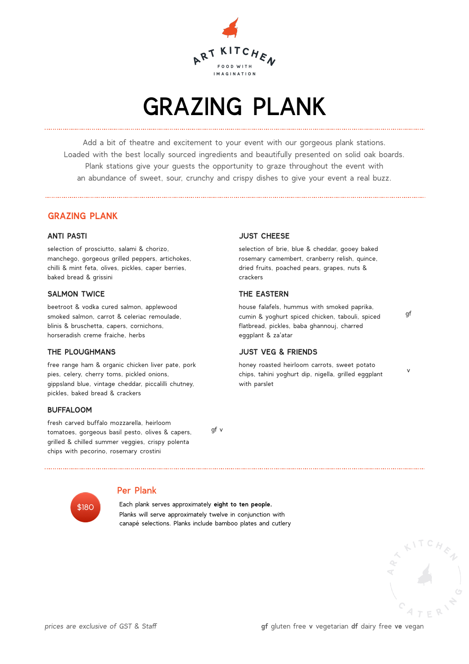

## GRAZING PLANK

Add a bit of theatre and excitement to your event with our gorgeous plank stations. Loaded with the best locally sourced ingredients and beautifully presented on solid oak boards. Plank stations give your guests the opportunity to graze throughout the event with an abundance of sweet, sour, crunchy and crispy dishes to give your event a real buzz.

#### **GRAZING PLANK**

#### **ANTI PASTI**

selection of prosciutto, salami & chorizo, manchego, gorgeous grilled peppers, artichokes, chilli & mint feta, olives, pickles, caper berries, baked bread & grissini

#### **SALMON TWICE**

beetroot & vodka cured salmon, applewood smoked salmon, carrot & celeriac remoulade, blinis & bruschetta, capers, cornichons, horseradish creme fraiche, herbs

#### **THE PLOUGHMANS**

free range ham & organic chicken liver pate, pork pies, celery, cherry toms, pickled onions, gippsland blue, vintage cheddar, piccalilli chutney, pickles, baked bread & crackers

#### **BUFFALOOM**

fresh carved buffalo mozzarella, heirloom tomatoes, gorgeous basil pesto, olives & capers, grilled & chilled summer veggies, crispy polenta chips with pecorino, rosemary crostini

gf v



#### Per Plank

 Each plank serves approximately **eight to ten people.** Planks will serve approximately twelve in conjunction with canapé selections. Planks include bamboo plates and cutlery

#### **JUST CHEESE**

selection of brie, blue & cheddar, gooey baked rosemary camembert, cranberry relish, quince, dried fruits, poached pears, grapes, nuts & crackers

#### **THE EASTERN**

house falafels, hummus with smoked paprika, cumin & yoghurt spiced chicken, tabouli, spiced flatbread, pickles, baba ghannouj, charred eggplant & za'atar

#### **JUST VEG & FRIENDS**

honey roasted heirloom carrots, sweet potato chips, tahini yoghurt dip, nigella, grilled eggplant with parslet

gf

v